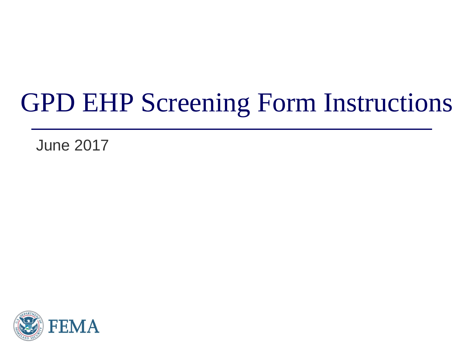#### GPD EHP Screening Form Instructions

June 2017

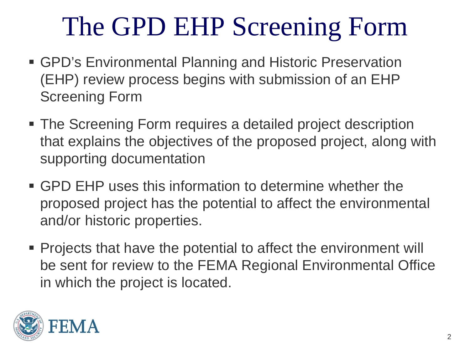- GPD's Environmental Planning and Historic Preservation (EHP) review process begins with submission of an EHP Screening Form
- The Screening Form requires a detailed project description that explains the objectives of the proposed project, along with supporting documentation
- GPD EHP uses this information to determine whether the proposed project has the potential to affect the environmental and/or historic properties.
- Projects that have the potential to affect the environment will be sent for review to the FEMA Regional Environmental Office in which the project is located.

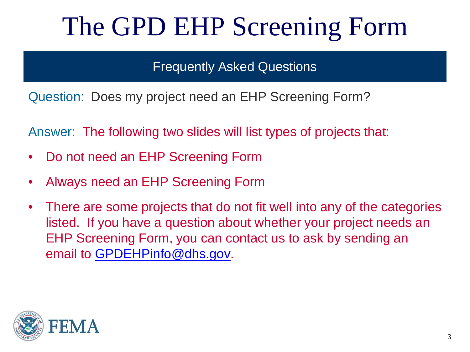Frequently Asked Questions

Question: Does my project need an EHP Screening Form?

Answer: The following two slides will list types of projects that:

- Do not need an EHP Screening Form
- Always need an EHP Screening Form
- There are some projects that do not fit well into any of the categories listed. If you have a question about whether your project needs an EHP Screening Form, you can contact us to ask by sending an email to [GPDEHPinfo@dhs.gov](mailto:GPDEHPinfo@dhs.gov).

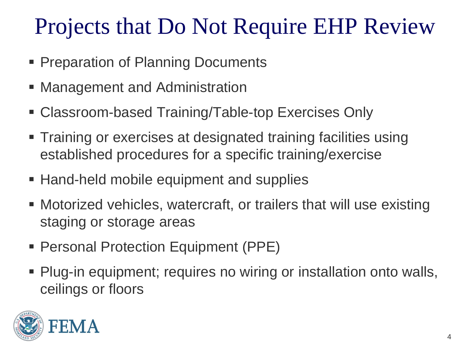#### Projects that Do Not Require EHP Review

- **Preparation of Planning Documents**
- **Management and Administration**
- Classroom-based Training/Table-top Exercises Only
- **Training or exercises at designated training facilities using** established procedures for a specific training/exercise
- Hand-held mobile equipment and supplies
- Motorized vehicles, watercraft, or trailers that will use existing staging or storage areas
- Personal Protection Equipment (PPE)
- Plug-in equipment; requires no wiring or installation onto walls, ceilings or floors

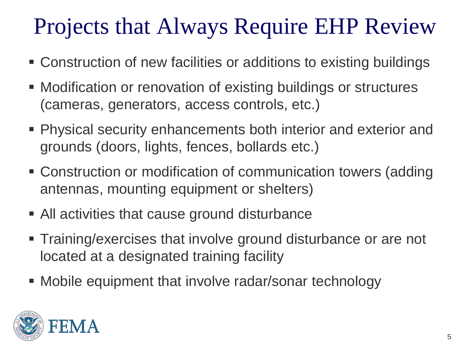#### Projects that Always Require EHP Review

- Construction of new facilities or additions to existing buildings
- Modification or renovation of existing buildings or structures (cameras, generators, access controls, etc.)
- Physical security enhancements both interior and exterior and grounds (doors, lights, fences, bollards etc.)
- Construction or modification of communication towers (adding antennas, mounting equipment or shelters)
- All activities that cause ground disturbance
- Training/exercises that involve ground disturbance or are not located at a designated training facility
- Mobile equipment that involve radar/sonar technology

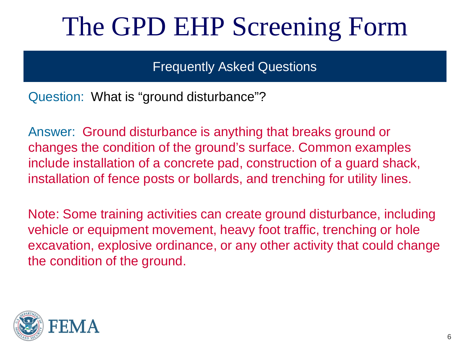Frequently Asked Questions

Question: What is "ground disturbance"?

Answer: Ground disturbance is anything that breaks ground or changes the condition of the ground's surface. Common examples include installation of a concrete pad, construction of a guard shack, installation of fence posts or bollards, and trenching for utility lines.

Note: Some training activities can create ground disturbance, including vehicle or equipment movement, heavy foot traffic, trenching or hole excavation, explosive ordinance, or any other activity that could change the condition of the ground.

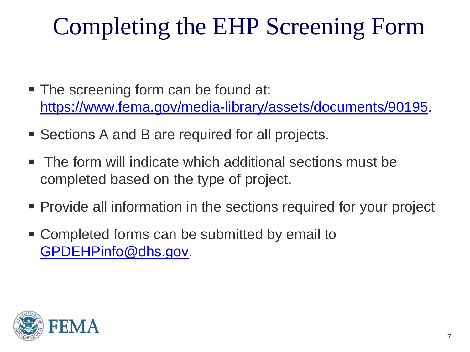#### Completing the EHP Screening Form

- The screening form can be found at: [https://www.fema.gov/media-library/assets/documents/90195.](https://www.fema.gov/media-library/assets/documents/90195)
- Sections A and B are required for all projects.
- The form will indicate which additional sections must be completed based on the type of project.
- Provide all information in the sections required for your project
- Completed forms can be submitted by email to [GPDEHPinfo@dhs.gov](mailto:GPDEHPinfo@dhs.gov).

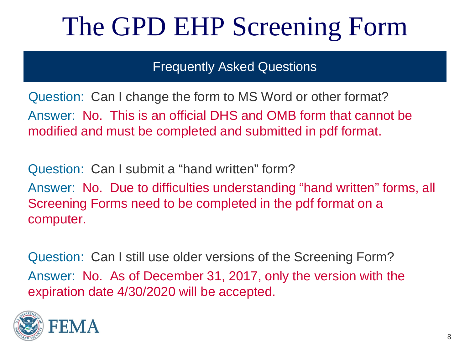**Frequently Asked Questions** 

Question: Can I change the form to MS Word or other format? Answer: No. This is an official DHS and OMB form that cannot be modified and must be completed and submitted in pdf format.

Question: Can I submit a "hand written" form? Answer: No. Due to difficulties understanding "hand written" forms, all Screening Forms need to be completed in the pdf format on a computer.

Question: Can I still use older versions of the Screening Form? Answer: No. As of December 31, 2017, only the version with the expiration date 4/30/2020 will be accepted.

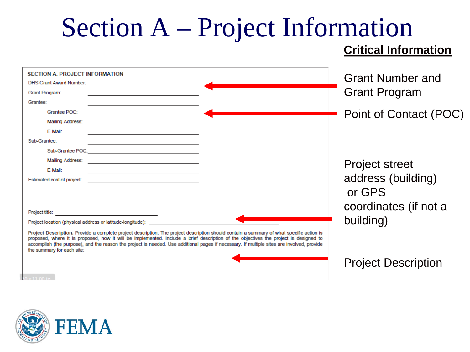# Section A – Project Information

#### **Critical Information**

| <b>SECTION A. PROJECT INFORMATION</b><br><b>DHS Grant Award Number:</b>                                                                                                                                                                                                                                                                                                                                                                                      |  |  | <b>Grant Number and</b>    |
|--------------------------------------------------------------------------------------------------------------------------------------------------------------------------------------------------------------------------------------------------------------------------------------------------------------------------------------------------------------------------------------------------------------------------------------------------------------|--|--|----------------------------|
| Grant Program:                                                                                                                                                                                                                                                                                                                                                                                                                                               |  |  | <b>Grant Program</b>       |
| Grantee:                                                                                                                                                                                                                                                                                                                                                                                                                                                     |  |  |                            |
| Grantee POC:                                                                                                                                                                                                                                                                                                                                                                                                                                                 |  |  | Point of Contact (POC)     |
| <b>Mailing Address:</b>                                                                                                                                                                                                                                                                                                                                                                                                                                      |  |  |                            |
| E-Mail:                                                                                                                                                                                                                                                                                                                                                                                                                                                      |  |  |                            |
| Sub-Grantee:                                                                                                                                                                                                                                                                                                                                                                                                                                                 |  |  |                            |
|                                                                                                                                                                                                                                                                                                                                                                                                                                                              |  |  |                            |
| Mailing Address:                                                                                                                                                                                                                                                                                                                                                                                                                                             |  |  | <b>Project street</b>      |
| E-Mail:                                                                                                                                                                                                                                                                                                                                                                                                                                                      |  |  |                            |
| Estimated cost of project:                                                                                                                                                                                                                                                                                                                                                                                                                                   |  |  | address (building)         |
|                                                                                                                                                                                                                                                                                                                                                                                                                                                              |  |  | or GPS                     |
|                                                                                                                                                                                                                                                                                                                                                                                                                                                              |  |  |                            |
| Project title:                                                                                                                                                                                                                                                                                                                                                                                                                                               |  |  | coordinates (if not a      |
| Project location (physical address or latitude-longitude):                                                                                                                                                                                                                                                                                                                                                                                                   |  |  | building)                  |
| Project Description. Provide a complete project description. The project description should contain a summary of what specific action is<br>proposed, where it is proposed, how it will be implemented. Include a brief description of the objectives the project is designed to<br>accomplish (the purpose), and the reason the project is needed. Use additional pages if necessary. If multiple sites are involved, provide<br>the summary for each site: |  |  |                            |
|                                                                                                                                                                                                                                                                                                                                                                                                                                                              |  |  | <b>Project Description</b> |

FEMA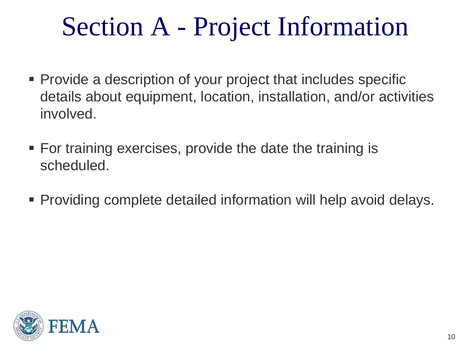## Section A - Project Information

- Provide a description of your project that includes specific details about equipment, location, installation, and/or activities involved.
- For training exercises, provide the date the training is scheduled.
- Providing complete detailed information will help avoid delays.

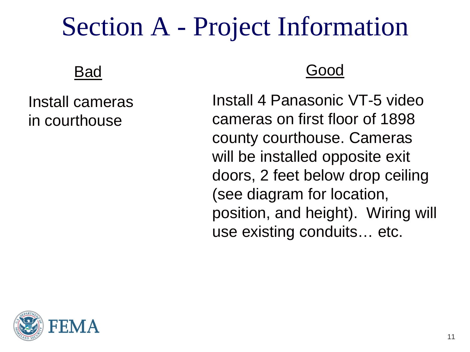#### Section A - Project Information

#### Bad

Install cameras in courthouse

#### Good

Install 4 Panasonic VT-5 video cameras on first floor of 1898 county courthouse. Cameras will be installed opposite exit doors, 2 feet below drop ceiling (see diagram for location, position, and height). Wiring will use existing conduits… etc.

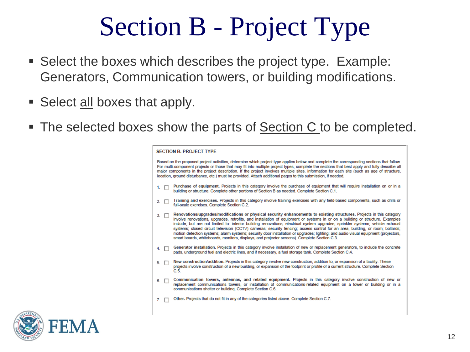#### Section B - Project Type

- Select the boxes which describes the project type. Example: Generators, Communication towers, or building modifications.
- Select all boxes that apply.
- The selected boxes show the parts of **Section C** to be completed.

| <b>SECTION B. PROJECT TYPE</b>                                                                                                                                                                                                                                                                                                                                                                                                                                                                                                                         |                                                                                                                                                                                                                                                                                                                                                                                                                                                                                                                                                                                                                                                                                                                                                                  |  |  |
|--------------------------------------------------------------------------------------------------------------------------------------------------------------------------------------------------------------------------------------------------------------------------------------------------------------------------------------------------------------------------------------------------------------------------------------------------------------------------------------------------------------------------------------------------------|------------------------------------------------------------------------------------------------------------------------------------------------------------------------------------------------------------------------------------------------------------------------------------------------------------------------------------------------------------------------------------------------------------------------------------------------------------------------------------------------------------------------------------------------------------------------------------------------------------------------------------------------------------------------------------------------------------------------------------------------------------------|--|--|
| Based on the proposed project activities, determine which project type applies below and complete the corresponding sections that follow.<br>For multi-component projects or those that may fit into multiple project types, complete the sections that best apply and fully describe all<br>major components in the project description. If the project involves multiple sites, information for each site (such as age of structure,<br>location, ground disturbance, etc.) must be provided. Attach additional pages to this submission, if needed, |                                                                                                                                                                                                                                                                                                                                                                                                                                                                                                                                                                                                                                                                                                                                                                  |  |  |
| 1. $\Box$                                                                                                                                                                                                                                                                                                                                                                                                                                                                                                                                              | Purchase of equipment. Projects in this category involve the purchase of equipment that will require installation on or in a<br>building or structure. Complete other portions of Section B as needed. Complete Section C.1.                                                                                                                                                                                                                                                                                                                                                                                                                                                                                                                                     |  |  |
| $2. \square$                                                                                                                                                                                                                                                                                                                                                                                                                                                                                                                                           | Training and exercises. Projects in this category involve training exercises with any field-based components, such as drills or<br>full-scale exercises. Complete Section C.2.                                                                                                                                                                                                                                                                                                                                                                                                                                                                                                                                                                                   |  |  |
| $3. \Box$                                                                                                                                                                                                                                                                                                                                                                                                                                                                                                                                              | Renovations/upgrades/modifications or physical security enhancements to existing structures. Projects in this category<br>involve renovations, upgrades, retrofits, and installation of equipment or systems in or on a building or structure. Examples<br>include, but are not limited to: interior building renovations; electrical system upgrades; sprinkler systems; vehicle exhaust<br>systems; closed circuit television (CCTV) cameras; security fencing; access control for an area, building, or room; bollards;<br>motion detection systems: alarm systems: security door installation or upgrades: lighting: and audio-visual equipment (projectors,<br>smart boards, whiteboards, monitors, displays, and projector screens). Complete Section C.3. |  |  |
| 4. $\Box$                                                                                                                                                                                                                                                                                                                                                                                                                                                                                                                                              | Generator installation. Projects in this category involve installation of new or replacement generators, to include the concrete<br>pads, underground fuel and electric lines, and if necessary, a fuel storage tank. Complete Section C.4.                                                                                                                                                                                                                                                                                                                                                                                                                                                                                                                      |  |  |
| $5. \square$                                                                                                                                                                                                                                                                                                                                                                                                                                                                                                                                           | New construction/addition. Projects in this category involve new construction, addition to, or expansion of a facility. These<br>projects involve construction of a new building, or expansion of the footprint or profile of a current structure. Complete Section<br>C.5.                                                                                                                                                                                                                                                                                                                                                                                                                                                                                      |  |  |
| $6. \Box$                                                                                                                                                                                                                                                                                                                                                                                                                                                                                                                                              | Communication towers, antennas, and related equipment. Projects in this category involve construction of new or<br>replacement communications towers, or installation of communications-related equipment on a tower or building or in a<br>communications shelter or building. Complete Section C.6.                                                                                                                                                                                                                                                                                                                                                                                                                                                            |  |  |
| 7.                                                                                                                                                                                                                                                                                                                                                                                                                                                                                                                                                     | Other, Projects that do not fit in any of the categories listed above. Complete Section C.7.                                                                                                                                                                                                                                                                                                                                                                                                                                                                                                                                                                                                                                                                     |  |  |
|                                                                                                                                                                                                                                                                                                                                                                                                                                                                                                                                                        |                                                                                                                                                                                                                                                                                                                                                                                                                                                                                                                                                                                                                                                                                                                                                                  |  |  |

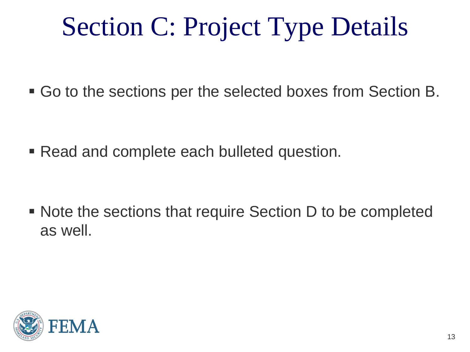# Section C: Project Type Details

Go to the sections per the selected boxes from Section B.

Read and complete each bulleted question.

 Note the sections that require Section D to be completed as well.

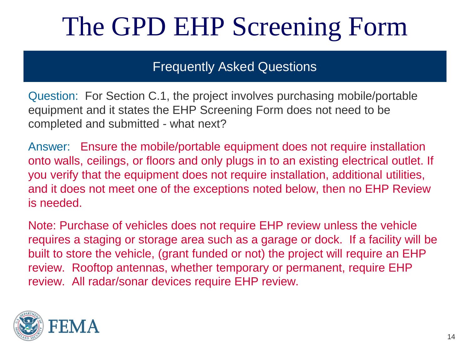#### Frequently Asked Questions

Question: For Section C.1, the project involves purchasing mobile/portable equipment and it states the EHP Screening Form does not need to be completed and submitted - what next?

Answer: Ensure the mobile/portable equipment does not require installation onto walls, ceilings, or floors and only plugs in to an existing electrical outlet. If you verify that the equipment does not require installation, additional utilities, and it does not meet one of the exceptions noted below, then no EHP Review is needed.

Note: Purchase of vehicles does not require EHP review unless the vehicle requires a staging or storage area such as a garage or dock. If a facility will be built to store the vehicle, (grant funded or not) the project will require an EHP review. Rooftop antennas, whether temporary or permanent, require EHP review. All radar/sonar devices require EHP review.

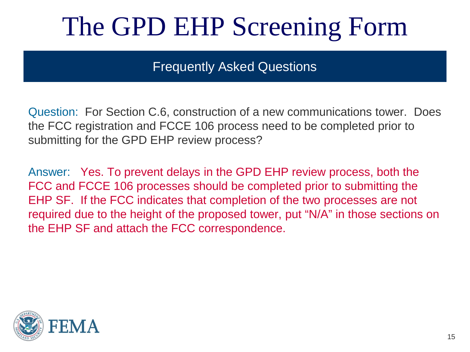Frequently Asked Questions

Question: For Section C.6, construction of a new communications tower. Does the FCC registration and FCCE 106 process need to be completed prior to submitting for the GPD EHP review process?

Answer: Yes. To prevent delays in the GPD EHP review process, both the FCC and FCCE 106 processes should be completed prior to submitting the EHP SF. If the FCC indicates that completion of the two processes are not required due to the height of the proposed tower, put "N/A" in those sections on the EHP SF and attach the FCC correspondence.

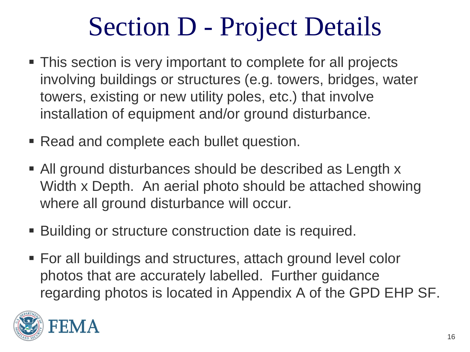#### Section D - Project Details

- This section is very important to complete for all projects involving buildings or structures (e.g. towers, bridges, water towers, existing or new utility poles, etc.) that involve installation of equipment and/or ground disturbance.
- Read and complete each bullet question.
- All ground disturbances should be described as Length x Width x Depth. An aerial photo should be attached showing where all ground disturbance will occur.
- Building or structure construction date is required.
- For all buildings and structures, attach ground level color photos that are accurately labelled. Further guidance regarding photos is located in Appendix A of the GPD EHP SF.

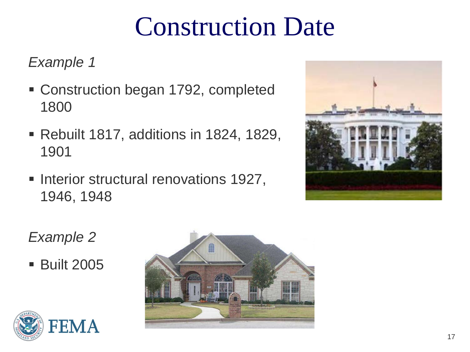#### Construction Date

*Example 1*

- Construction began 1792, completed 1800
- Rebuilt 1817, additions in 1824, 1829, 1901
- **Interior structural renovations 1927,** 1946, 1948



#### *Example 2*

**Built 2005** 



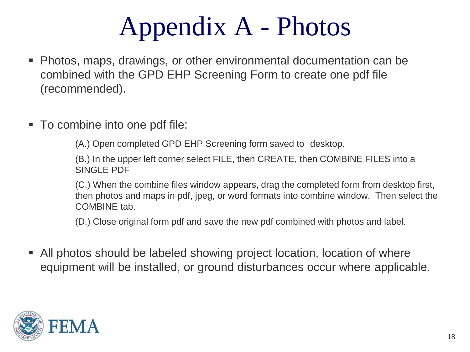## Appendix A - Photos

- Photos, maps, drawings, or other environmental documentation can be combined with the GPD EHP Screening Form to create one pdf file (recommended).
- To combine into one pdf file:

(A.) Open completed GPD EHP Screening form saved to desktop.

(B.) In the upper left corner select FILE, then CREATE, then COMBINE FILES into a SINGLE PDF

(C.) When the combine files window appears, drag the completed form from desktop first, then photos and maps in pdf, jpeg, or word formats into combine window. Then select the COMBINE tab.

(D.) Close original form pdf and save the new pdf combined with photos and label.

 All photos should be labeled showing project location, location of where equipment will be installed, or ground disturbances occur where applicable.

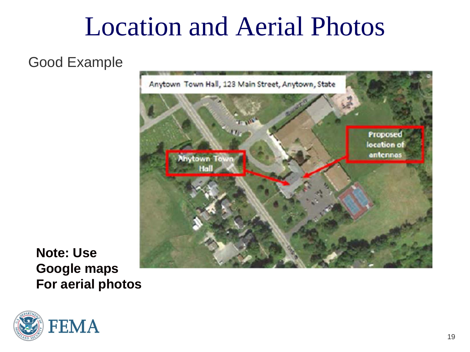#### Location and Aerial Photos

Good Example



**Note: Use Google maps For aerial photos**

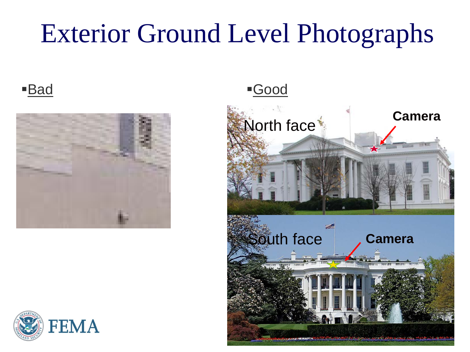#### Exterior Ground Level Photographs





■ Bad Good

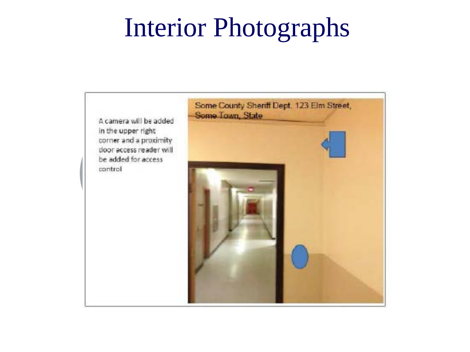#### Interior Photographs

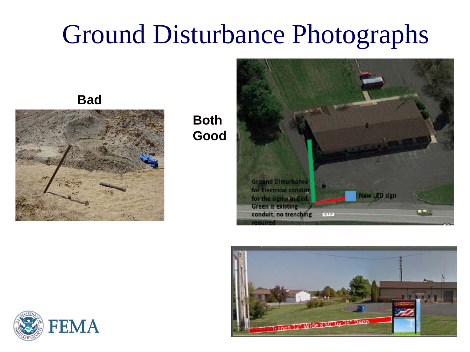#### Ground Disturbance Photographs

**Bad**



**Both Good**





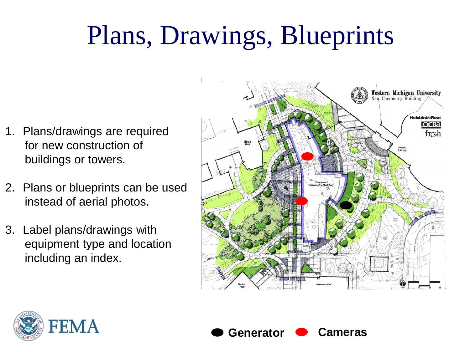# Plans, Drawings, Blueprints

- 1. Plans/drawings are required for new construction of buildings or towers.
- 2. Plans or blueprints can be used instead of aerial photos.
- 3. Label plans/drawings with equipment type and location including an index.





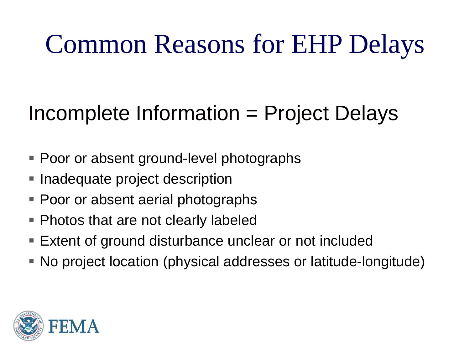#### Common Reasons for EHP Delays

#### Incomplete Information = Project Delays

- Poor or absent ground-level photographs
- Inadequate project description
- Poor or absent aerial photographs
- Photos that are not clearly labeled
- Extent of ground disturbance unclear or not included
- No project location (physical addresses or latitude-longitude)

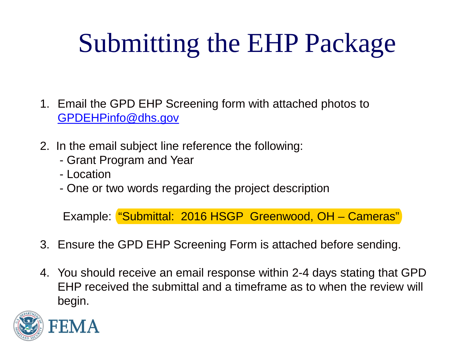# Submitting the EHP Package

- 1. Email the GPD EHP Screening form with attached photos to [GPDEHPinfo@dhs.gov](mailto:GPDEHPinfo@dhs.gov)
- 2. In the email subject line reference the following:
	- Grant Program and Year
	- Location
	- One or two words regarding the project description

Example: "Submittal: 2016 HSGP Greenwood, OH – Cameras"

- 3. Ensure the GPD EHP Screening Form is attached before sending.
- 4. You should receive an email response within 2-4 days stating that GPD EHP received the submittal and a timeframe as to when the review will begin.

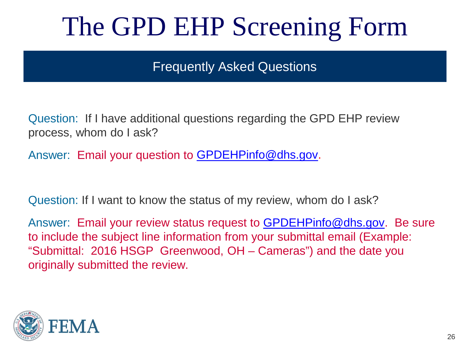Frequently Asked Questions

Question: If I have additional questions regarding the GPD EHP review process, whom do I ask?

Answer: Email your question to [GPDEHPinfo@dhs.gov](mailto:GPDEHPinfo@dhs.gov).

Question: If I want to know the status of my review, whom do I ask?

Answer: Email your review status request to **GPDEHPinfo@dhs.gov.** Be sure to include the subject line information from your submittal email (Example: "Submittal: 2016 HSGP Greenwood, OH – Cameras") and the date you originally submitted the review.